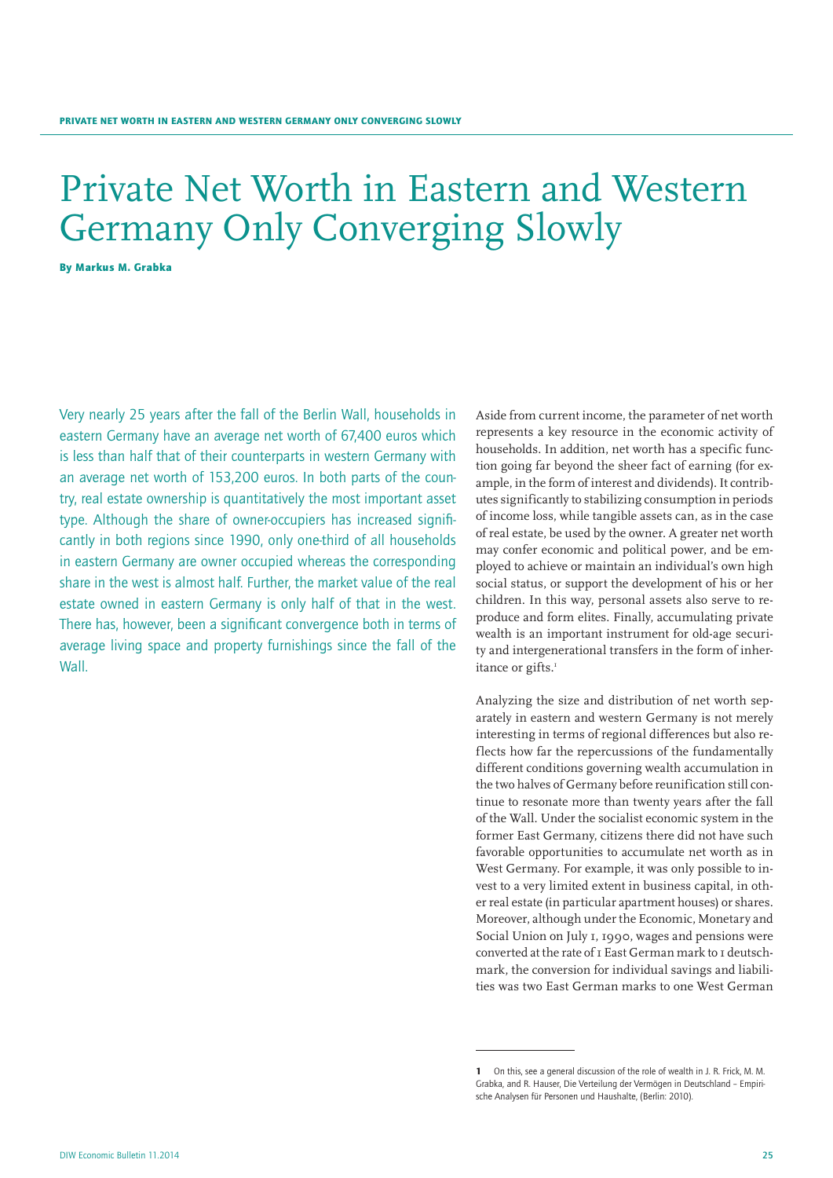# Private Net Worth in Eastern and Western Germany Only Converging Slowly

By Markus M. Grabka

Very nearly 25 years after the fall of the Berlin Wall, households in eastern Germany have an average net worth of 67,400 euros which is less than half that of their counterparts in western Germany with an average net worth of 153,200 euros. In both parts of the country, real estate ownership is quantitatively the most important asset type. Although the share of owner-occupiers has increased significantly in both regions since 1990, only one-third of all households in eastern Germany are owner occupied whereas the corresponding share in the west is almost half. Further, the market value of the real estate owned in eastern Germany is only half of that in the west. There has, however, been a significant convergence both in terms of average living space and property furnishings since the fall of the Wall.

Aside from current income, the parameter of net worth represents a key resource in the economic activity of households. In addition, net worth has a specific function going far beyond the sheer fact of earning (for example, in the form of interest and dividends). It contributes significantly to stabilizing consumption in periods of income loss, while tangible assets can, as in the case of real estate, be used by the owner. A greater net worth may confer economic and political power, and be employed to achieve or maintain an individual's own high social status, or support the development of his or her children. In this way, personal assets also serve to reproduce and form elites. Finally, accumulating private wealth is an important instrument for old-age security and intergenerational transfers in the form of inheritance or gifts.<sup>1</sup>

Analyzing the size and distribution of net worth separately in eastern and western Germany is not merely interesting in terms of regional differences but also reflects how far the repercussions of the fundamentally different conditions governing wealth accumulation in the two halves of Germany before reunification still continue to resonate more than twenty years after the fall of the Wall. Under the socialist economic system in the former East Germany, citizens there did not have such favorable opportunities to accumulate net worth as in West Germany. For example, it was only possible to invest to a very limited extent in business capital, in other real estate (in particular apartment houses) or shares. Moreover, although under the Economic, Monetary and Social Union on July 1, 1990, wages and pensions were converted at the rate of 1 East German mark to 1 deutschmark, the conversion for individual savings and liabilities was two East German marks to one West German

<sup>1</sup> On this, see a general discussion of the role of wealth in J. R. Frick, M. M. Grabka, and R. Hauser, Die Verteilung der Vermögen in Deutschland – Empirische Analysen für Personen und Haushalte, (Berlin: 2010).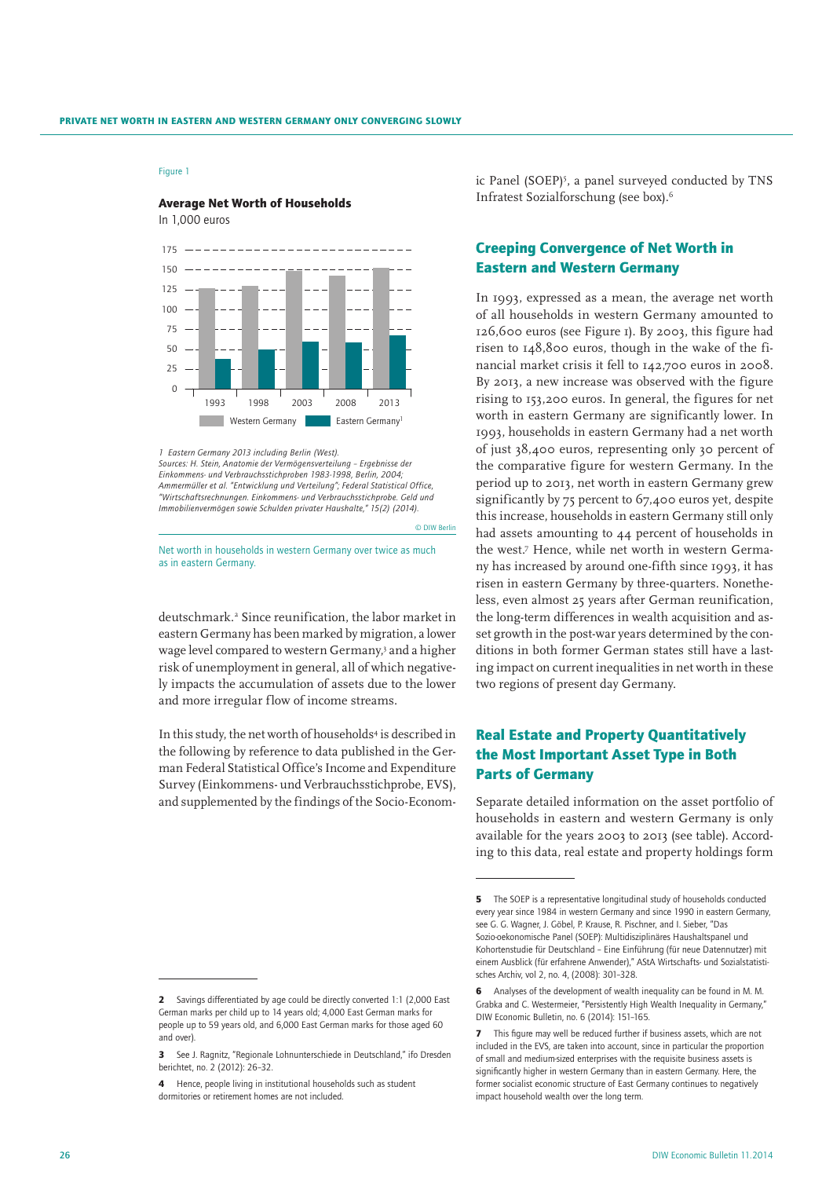#### Average Net Worth of Households

In 1,000 euros



*1 Eastern Germany 2013 including Berlin (West).*

*Sources: H. Stein, Anatomie der Vermögensverteilung – Ergebnisse der Einkommens- und Verbrauchsstichproben 1983-1998, Berlin, 2004; Ammermüller et al. "Entwicklung und Verteilung"; Federal Statistical Office, "Wirtschaftsrechnungen. Einkommens- und Verbrauchsstichprobe. Geld und Immobilienvermögen sowie Schulden privater Haushalte," 15(2) (2014).*

Net worth in households in western Germany over twice as much as in eastern Germany.

© DIW Berlin

deutschmark.2 Since reunification, the labor market in eastern Germany has been marked by migration, a lower wage level compared to western Germany,<sup>3</sup> and a higher risk of unemployment in general, all of which negatively impacts the accumulation of assets due to the lower and more irregular flow of income streams.

In this study, the net worth of households<sup>4</sup> is described in the following by reference to data published in the German Federal Statistical Office's Income and Expenditure Survey (Einkommens- und Verbrauchsstichprobe, EVS), and supplemented by the findings of the Socio-Econom-

ic Panel (SOEP)<sup>5</sup>, a panel surveyed conducted by TNS Infratest Sozialforschung (see box).6

# Creeping Convergence of Net Worth in Eastern and Western Germany

In 1993, expressed as a mean, the average net worth of all households in western Germany amounted to 126,600 euros (see Figure 1). By 2003, this figure had risen to 148,800 euros, though in the wake of the financial market crisis it fell to 142,700 euros in 2008. By 2013, a new increase was observed with the figure rising to 153,200 euros. In general, the figures for net worth in eastern Germany are significantly lower. In 1993, households in eastern Germany had a net worth of just 38,400 euros, representing only 30 percent of the comparative figure for western Germany. In the period up to 2013, net worth in eastern Germany grew significantly by 75 percent to 67,400 euros yet, despite this increase, households in eastern Germany still only had assets amounting to 44 percent of households in the west.7 Hence, while net worth in western Germany has increased by around one-fifth since 1993, it has risen in eastern Germany by three-quarters. Nonetheless, even almost 25 years after German reunification, the long-term differences in wealth acquisition and asset growth in the post-war years determined by the conditions in both former German states still have a lasting impact on current inequalities in net worth in these two regions of present day Germany.

# Real Estate and Property Quantitatively the Most Important Asset Type in Both Parts of Germany

Separate detailed information on the asset portfolio of households in eastern and western Germany is only available for the years 2003 to 2013 (see table). According to this data, real estate and property holdings form

<sup>5</sup> The SOEP is a representative longitudinal study of households conducted every year since 1984 in western Germany and since 1990 in eastern Germany, see G. G. Wagner, J. Göbel, P. Krause, R. Pischner, and I. Sieber, "Das Sozio-oekonomische Panel (SOEP): Multidisziplinäres Haushaltspanel und Kohortenstudie für Deutschland – Eine Einführung (für neue Datennutzer) mit einem Ausblick (für erfahrene Anwender)," AStA Wirtschafts- und Sozialstatistisches Archiv, vol 2, no. 4, (2008): 301–328.

<sup>6</sup> Analyses of the development of wealth inequality can be found in M. M. Grabka and C. Westermeier, "Persistently High Wealth Inequality in Germany," DIW Economic Bulletin, no. 6 (2014): 151–165.

<sup>7</sup> This figure may well be reduced further if business assets, which are not included in the EVS, are taken into account, since in particular the proportion of small and medium-sized enterprises with the requisite business assets is significantly higher in western Germany than in eastern Germany. Here, the former socialist economic structure of East Germany continues to negatively impact household wealth over the long term.

<sup>2</sup> Savings differentiated by age could be directly converted 1:1 (2,000 East German marks per child up to 14 years old; 4,000 East German marks for people up to 59 years old, and 6,000 East German marks for those aged 60 and over).

<sup>3</sup> See J. Ragnitz, "Regionale Lohnunterschiede in Deutschland," ifo Dresden berichtet, no. 2 (2012): 26–32.

<sup>4</sup> Hence, people living in institutional households such as student dormitories or retirement homes are not included.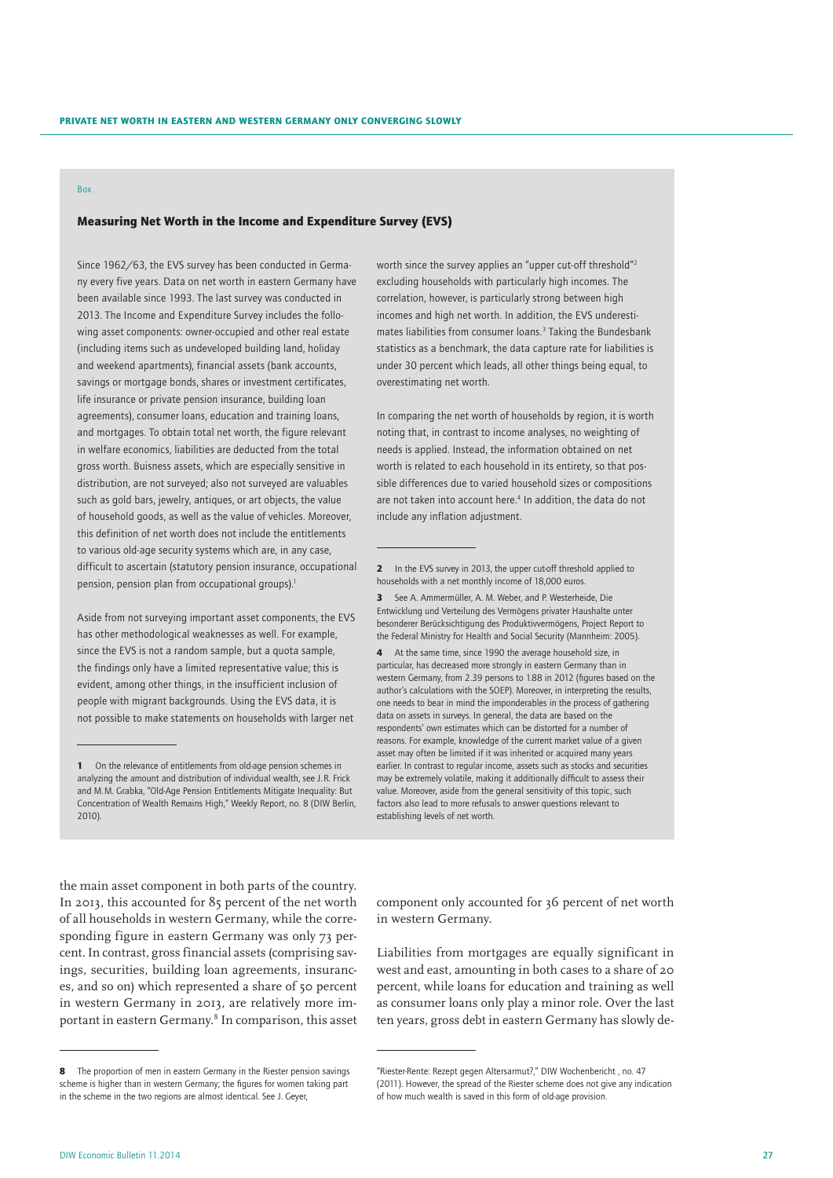## Box

## Measuring Net Worth in the Income and Expenditure Survey (EVS)

Since 1962/63, the EVS survey has been conducted in Germany every five years. Data on net worth in eastern Germany have been available since 1993. The last survey was conducted in 2013. The Income and Expenditure Survey includes the following asset components: owner-occupied and other real estate (including items such as undeveloped building land, holiday and weekend apartments), financial assets (bank accounts, savings or mortgage bonds, shares or investment certificates, life insurance or private pension insurance, building loan agreements), consumer loans, education and training loans, and mortgages. To obtain total net worth, the figure relevant in welfare economics, liabilities are deducted from the total gross worth. Buisness assets, which are especially sensitive in distribution, are not surveyed; also not surveyed are valuables such as gold bars, jewelry, antiques, or art objects, the value of household goods, as well as the value of vehicles. Moreover, this definition of net worth does not include the entitlements to various old-age security systems which are, in any case, difficult to ascertain (statutory pension insurance, occupational pension, pension plan from occupational groups).<sup>1</sup>

Aside from not surveying important asset components, the EVS has other methodological weaknesses as well. For example, since the EVS is not a random sample, but a quota sample, the findings only have a limited representative value; this is evident, among other things, in the insufficient inclusion of people with migrant backgrounds. Using the EVS data, it is not possible to make statements on households with larger net

worth since the survey applies an "upper cut-off threshold"2 excluding households with particularly high incomes. The correlation, however, is particularly strong between high incomes and high net worth. In addition, the EVS underestimates liabilities from consumer loans.<sup>3</sup> Taking the Bundesbank statistics as a benchmark, the data capture rate for liabilities is under 30 percent which leads, all other things being equal, to overestimating net worth.

In comparing the net worth of households by region, it is worth noting that, in contrast to income analyses, no weighting of needs is applied. Instead, the information obtained on net worth is related to each household in its entirety, so that possible differences due to varied household sizes or compositions are not taken into account here.<sup>4</sup> In addition, the data do not include any inflation adjustment.

3 See A. Ammermüller, A. M. Weber, and P. Westerheide, Die Entwicklung und Verteilung des Vermögens privater Haushalte unter besonderer Berücksichtigung des Produktivvermögens, Project Report to the Federal Ministry for Health and Social Security (Mannheim: 2005).

4 At the same time, since 1990 the average household size, in particular, has decreased more strongly in eastern Germany than in western Germany, from 2.39 persons to 1.88 in 2012 (figures based on the author's calculations with the SOEP). Moreover, in interpreting the results, one needs to bear in mind the imponderables in the process of gathering data on assets in surveys. In general, the data are based on the respondents' own estimates which can be distorted for a number of reasons. For example, knowledge of the current market value of a given asset may often be limited if it was inherited or acquired many years earlier. In contrast to regular income, assets such as stocks and securities may be extremely volatile, making it additionally difficult to assess their value. Moreover, aside from the general sensitivity of this topic, such factors also lead to more refusals to answer questions relevant to establishing levels of net worth.

the main asset component in both parts of the country. In 2013, this accounted for 85 percent of the net worth of all households in western Germany, while the corresponding figure in eastern Germany was only 73 percent. In contrast, gross financial assets (comprising savings, securities, building loan agreements, insurances, and so on) which represented a share of 50 percent in western Germany in 2013, are relatively more important in eastern Germany.<sup>8</sup> In comparison, this asset

component only accounted for 36 percent of net worth in western Germany.

Liabilities from mortgages are equally significant in west and east, amounting in both cases to a share of 20 percent, while loans for education and training as well as consumer loans only play a minor role. Over the last ten years, gross debt in eastern Germany has slowly de-

<sup>1</sup> On the relevance of entitlements from old-age pension schemes in analyzing the amount and distribution of individual wealth, see J.R. Frick and M.M. Grabka, "Old-Age Pension Entitlements Mitigate Inequality: But Concentration of Wealth Remains High," Weekly Report, no. 8 (DIW Berlin, 2010).

<sup>2</sup> In the EVS survey in 2013, the upper cut-off threshold applied to households with a net monthly income of 18,000 euros.

<sup>8</sup> The proportion of men in eastern Germany in the Riester pension savings scheme is higher than in western Germany; the figures for women taking part in the scheme in the two regions are almost identical. See J. Geyer,

<sup>&</sup>quot;Riester-Rente: Rezept gegen Altersarmut?," DIW Wochenbericht , no. 47 (2011). However, the spread of the Riester scheme does not give any indication of how much wealth is saved in this form of old-age provision.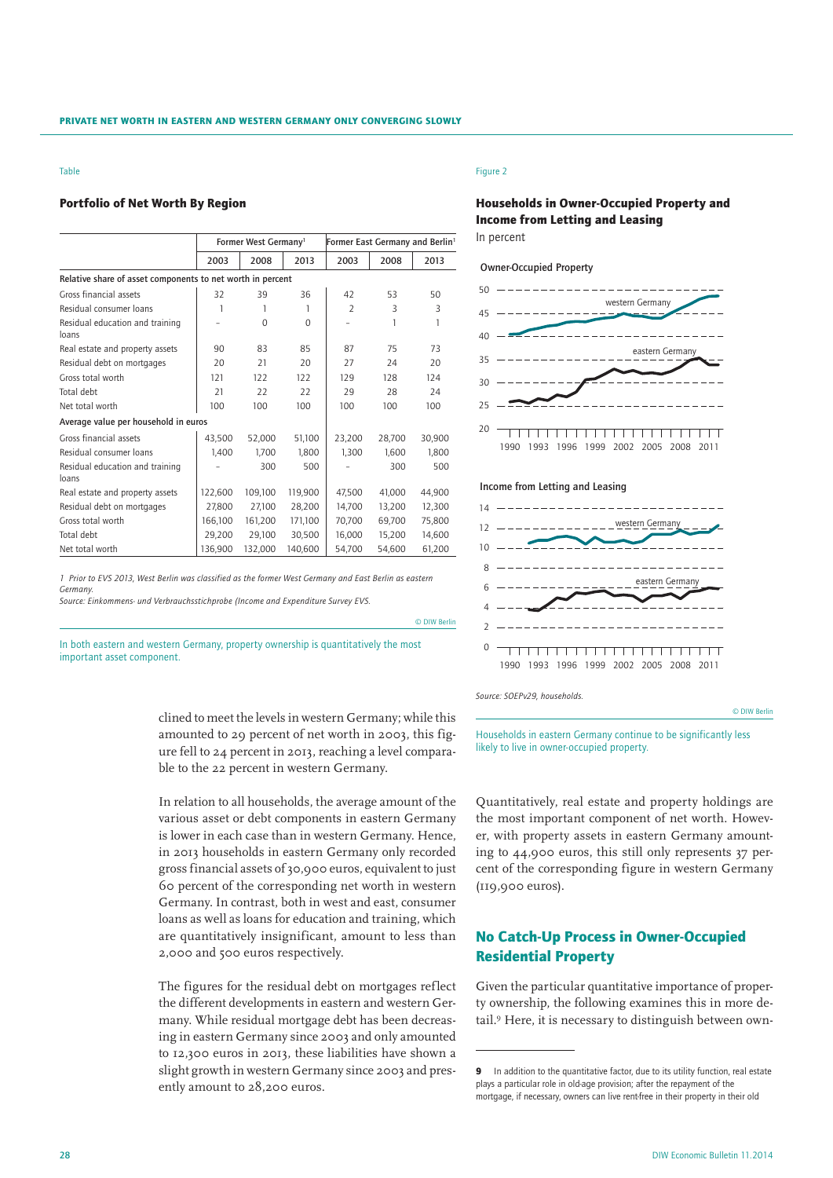#### Table

## Portfolio of Net Worth By Region

|                                                            | Former West Germany <sup>1</sup> |          |          | Former East Germany and Berlin <sup>1</sup> |        |        |
|------------------------------------------------------------|----------------------------------|----------|----------|---------------------------------------------|--------|--------|
|                                                            | 2003                             | 2008     | 2013     | 2003                                        | 2008   | 2013   |
| Relative share of asset components to net worth in percent |                                  |          |          |                                             |        |        |
| Gross financial assets                                     | 32                               | 39       | 36       | 42                                          | 53     | 50     |
| Residual consumer loans                                    | 1                                | 1        | 1        | $\overline{2}$                              | 3      | 3      |
| Residual education and training<br>loans                   |                                  | $\Omega$ | $\Omega$ |                                             | 1      | 1      |
| Real estate and property assets                            | 90                               | 83       | 85       | 87                                          | 75     | 73     |
| Residual debt on mortgages                                 | 20                               | 21       | 20       | 27                                          | 24     | 20     |
| Gross total worth                                          | 121                              | 122      | 122      | 129                                         | 128    | 124    |
| Total debt                                                 | 21                               | 22       | 22       | 29                                          | 28     | 24     |
| Net total worth                                            | 100                              | 100      | 100      | 100                                         | 100    | 100    |
| Average value per household in euros                       |                                  |          |          |                                             |        |        |
| Gross financial assets                                     | 43,500                           | 52,000   | 51,100   | 23,200                                      | 28.700 | 30.900 |
| Residual consumer loans                                    | 1.400                            | 1.700    | 1.800    | 1.300                                       | 1.600  | 1.800  |
| Residual education and training<br>loans                   |                                  | 300      | 500      |                                             | 300    | 500    |
| Real estate and property assets                            | 122,600                          | 109,100  | 119,900  | 47,500                                      | 41,000 | 44,900 |
| Residual debt on mortgages                                 | 27.800                           | 27.100   | 28.200   | 14.700                                      | 13.200 | 12,300 |
| Gross total worth                                          | 166,100                          | 161,200  | 171,100  | 70,700                                      | 69,700 | 75,800 |
| Total debt                                                 | 29,200                           | 29,100   | 30,500   | 16,000                                      | 15,200 | 14,600 |
| Net total worth                                            | 136,900                          | 132,000  | 140.600  | 54.700                                      | 54.600 | 61,200 |

*1 Prior to EVS 2013, West Berlin was classified as the former West Germany and East Berlin as eastern Germany.*

*Source: Einkommens- und Verbrauchsstichprobe (Income and Expenditure Survey EVS.*

In both eastern and western Germany, property ownership is quantitatively the most important asset component.

> clined to meet the levels in western Germany; while this amounted to 29 percent of net worth in 2003, this figure fell to 24 percent in 2013, reaching a level comparable to the 22 percent in western Germany.

> In relation to all households, the average amount of the various asset or debt components in eastern Germany is lower in each case than in western Germany. Hence, in 2013 households in eastern Germany only recorded gross financial assets of 30,900 euros, equivalent to just 60 percent of the corresponding net worth in western Germany. In contrast, both in west and east, consumer loans as well as loans for education and training, which are quantitatively insignificant, amount to less than 2,000 and 500 euros respectively.

> The figures for the residual debt on mortgages reflect the different developments in eastern and western Germany. While residual mortgage debt has been decreasing in eastern Germany since 2003 and only amounted to 12,300 euros in 2013, these liabilities have shown a slight growth in western Germany since 2003 and presently amount to 28,200 euros.

## Figure 2

# Households in Owner-Occupied Property and Income from Letting and Leasing

In percent

## Owner-Occupied Property



## Income from Letting and Leasing



*Source: SOEPv29, households.*

© DIW Berlin

© DIW Berlin

Households in eastern Germany continue to be significantly less likely to live in owner-occupied property.

Quantitatively, real estate and property holdings are the most important component of net worth. However, with property assets in eastern Germany amounting to 44,900 euros, this still only represents 37 percent of the corresponding figure in western Germany (119,900 euros).

# No Catch-Up Process in Owner-Occupied Residential Property

Given the particular quantitative importance of property ownership, the following examines this in more detail.9 Here, it is necessary to distinguish between own-

<sup>9</sup> In addition to the quantitative factor, due to its utility function, real estate plays a particular role in old-age provision; after the repayment of the mortgage, if necessary, owners can live rent-free in their property in their old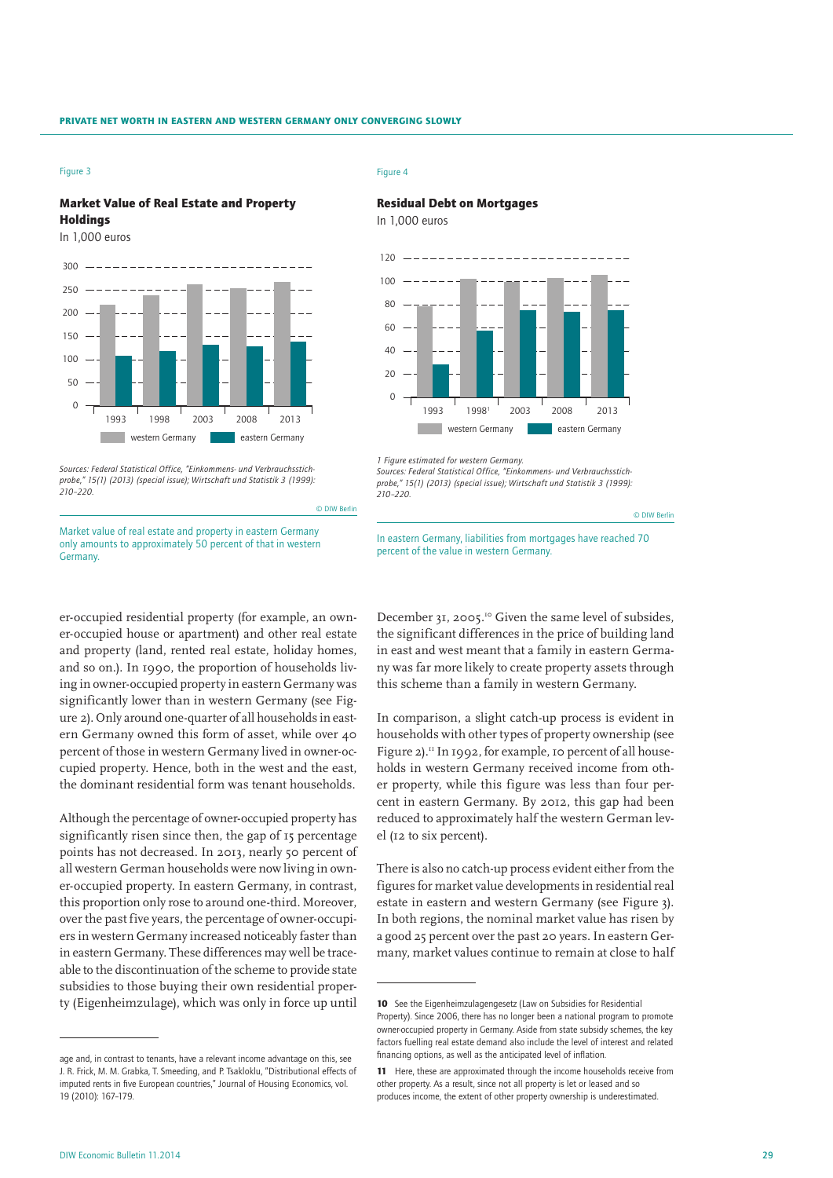# Market Value of Real Estate and Property Holdings

In 1,000 euros



*Sources: Federal Statistical Office, "Einkommens- und Verbrauchsstichprobe," 15(1) (2013) (special issue); Wirtschaft und Statistik 3 (1999): 210–220.*

© DIW Berlin

Market value of real estate and property in eastern Germany only amounts to approximately 50 percent of that in western **Germany** 

er-occupied residential property (for example, an owner-occupied house or apartment) and other real estate and property (land, rented real estate, holiday homes, and so on.). In 1990, the proportion of households living in owner-occupied property in eastern Germany was significantly lower than in western Germany (see Figure 2). Only around one-quarter of all households in eastern Germany owned this form of asset, while over 40 percent of those in western Germany lived in owner-occupied property. Hence, both in the west and the east, the dominant residential form was tenant households.

Although the percentage of owner-occupied property has significantly risen since then, the gap of 15 percentage points has not decreased. In 2013, nearly 50 percent of all western German households were now living in owner-occupied property. In eastern Germany, in contrast, this proportion only rose to around one-third. Moreover, over the past five years, the percentage of owner-occupiers in western Germany increased noticeably faster than in eastern Germany. These differences may well be traceable to the discontinuation of the scheme to provide state subsidies to those buying their own residential property (Eigenheimzulage), which was only in force up until

#### Figure 4

## Residual Debt on Mortgages

In 1,000 euros



*1 Figure estimated for western Germany.*

*Sources: Federal Statistical Office, "Einkommens- und Verbrauchsstichprobe," 15(1) (2013) (special issue); Wirtschaft und Statistik 3 (1999): 210–220.*

© DIW Berlin

In eastern Germany, liabilities from mortgages have reached 70 percent of the value in western Germany.

December 31, 2005.<sup>10</sup> Given the same level of subsides, the significant differences in the price of building land in east and west meant that a family in eastern Germany was far more likely to create property assets through this scheme than a family in western Germany.

In comparison, a slight catch-up process is evident in households with other types of property ownership (see Figure 2).<sup>11</sup> In 1992, for example, 10 percent of all households in western Germany received income from other property, while this figure was less than four percent in eastern Germany. By 2012, this gap had been reduced to approximately half the western German level (12 to six percent).

There is also no catch-up process evident either from the figures for market value developments in residential real estate in eastern and western Germany (see Figure 3). In both regions, the nominal market value has risen by a good 25 percent over the past 20 years. In eastern Germany, market values continue to remain at close to half

age and, in contrast to tenants, have a relevant income advantage on this, see J. R. Frick, M. M. Grabka, T. Smeeding, and P. Tsakloklu, "Distributional effects of imputed rents in five European countries," Journal of Housing Economics, vol. 19 (2010): 167–179.

<sup>10</sup> See the Eigenheimzulagengesetz (Law on Subsidies for Residential Property). Since 2006, there has no longer been a national program to promote owner-occupied property in Germany. Aside from state subsidy schemes, the key factors fuelling real estate demand also include the level of interest and related financing options, as well as the anticipated level of inflation.

<sup>11</sup> Here, these are approximated through the income households receive from other property. As a result, since not all property is let or leased and so produces income, the extent of other property ownership is underestimated.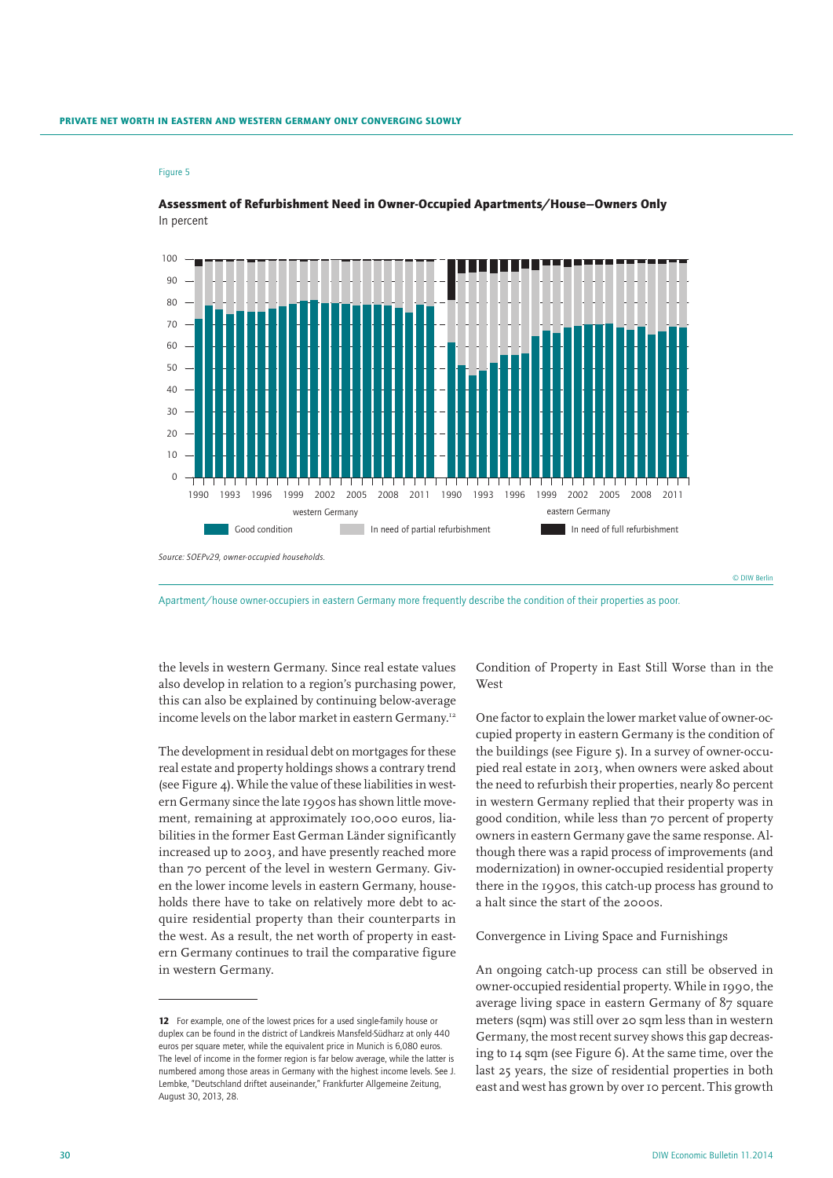

Assessment of Refurbishment Need in Owner-Occupied Apartments/House—Owners Only In percent

Apartment/house owner-occupiers in eastern Germany more frequently describe the condition of their properties as poor.

the levels in western Germany. Since real estate values also develop in relation to a region's purchasing power, this can also be explained by continuing below-average income levels on the labor market in eastern Germany.<sup>12</sup>

The development in residual debt on mortgages for these real estate and property holdings shows a contrary trend (see Figure 4). While the value of these liabilities in western Germany since the late 1990s has shown little movement, remaining at approximately 100,000 euros, liabilities in the former East German Länder significantly increased up to 2003, and have presently reached more than 70 percent of the level in western Germany. Given the lower income levels in eastern Germany, households there have to take on relatively more debt to acquire residential property than their counterparts in the west. As a result, the net worth of property in eastern Germany continues to trail the comparative figure in western Germany.

Condition of Property in East Still Worse than in the West

One factor to explain the lower market value of owner-occupied property in eastern Germany is the condition of the buildings (see Figure 5). In a survey of owner-occupied real estate in 2013, when owners were asked about the need to refurbish their properties, nearly 80 percent in western Germany replied that their property was in good condition, while less than 70 percent of property owners in eastern Germany gave the same response. Although there was a rapid process of improvements (and modernization) in owner-occupied residential property there in the 1990s, this catch-up process has ground to a halt since the start of the 2000s.

## Convergence in Living Space and Furnishings

An ongoing catch-up process can still be observed in owner-occupied residential property. While in 1990, the average living space in eastern Germany of 87 square meters (sqm) was still over 20 sqm less than in western Germany, the most recent survey shows this gap decreasing to 14 sqm (see Figure 6). At the same time, over the last 25 years, the size of residential properties in both east and west has grown by over 10 percent. This growth

<sup>12</sup> For example, one of the lowest prices for a used single-family house or duplex can be found in the district of Landkreis Mansfeld-Südharz at only 440 euros per square meter, while the equivalent price in Munich is 6,080 euros. The level of income in the former region is far below average, while the latter is numbered among those areas in Germany with the highest income levels. See J. Lembke, "Deutschland driftet auseinander," Frankfurter Allgemeine Zeitung, August 30, 2013, 28.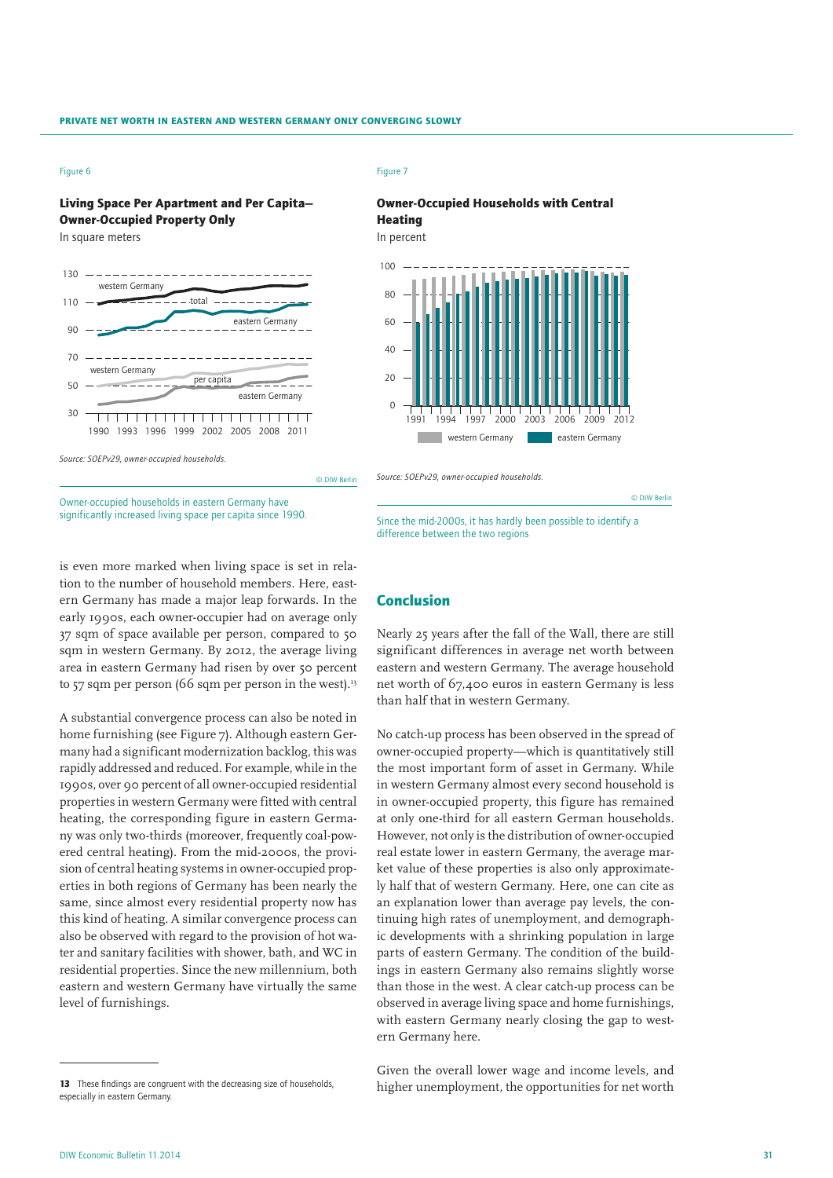# Living Space Per Apartment and Per Capita— Owner-Occupied Property Only

In square meters



#### Figure 7

## Owner-Occupied Households with Central Heating

In percent



*Source: SOEPv29, owner-occupied households.*

© DIW Berlin

Owner-occupied households in eastern Germany have significantly increased living space per capita since 1990.

is even more marked when living space is set in relation to the number of household members. Here, eastern Germany has made a major leap forwards. In the early 1990s, each owner-occupier had on average only 37 sqm of space available per person, compared to 50 sqm in western Germany. By 2012, the average living area in eastern Germany had risen by over 50 percent to  $57$  sqm per person (66 sqm per person in the west).<sup>13</sup>

A substantial convergence process can also be noted in home furnishing (see Figure 7). Although eastern Germany had a significant modernization backlog, this was rapidly addressed and reduced. For example, while in the 1990s, over 90 percent of all owner-occupied residential properties in western Germany were fitted with central heating, the corresponding figure in eastern Germany was only two-thirds (moreover, frequently coal-powered central heating). From the mid-2000s, the provision of central heating systems in owner-occupied properties in both regions of Germany has been nearly the same, since almost every residential property now has this kind of heating. A similar convergence process can also be observed with regard to the provision of hot water and sanitary facilities with shower, bath, and WC in residential properties. Since the new millennium, both eastern and western Germany have virtually the same level of furnishings.

# Since the mid-2000s, it has hardly been possible to identify a difference between the two regions

## Conclusion

Nearly 25 years after the fall of the Wall, there are still significant differences in average net worth between eastern and western Germany. The average household net worth of 67,400 euros in eastern Germany is less than half that in western Germany.

No catch-up process has been observed in the spread of owner-occupied property—which is quantitatively still the most important form of asset in Germany. While in western Germany almost every second household is in owner-occupied property, this figure has remained at only one-third for all eastern German households. However, not only is the distribution of owner-occupied real estate lower in eastern Germany, the average market value of these properties is also only approximately half that of western Germany. Here, one can cite as an explanation lower than average pay levels, the continuing high rates of unemployment, and demographic developments with a shrinking population in large parts of eastern Germany. The condition of the buildings in eastern Germany also remains slightly worse than those in the west. A clear catch-up process can be observed in average living space and home furnishings, with eastern Germany nearly closing the gap to western Germany here.

Given the overall lower wage and income levels, and higher unemployment, the opportunities for net worth

<sup>13</sup> These findings are congruent with the decreasing size of households especially in eastern Germany.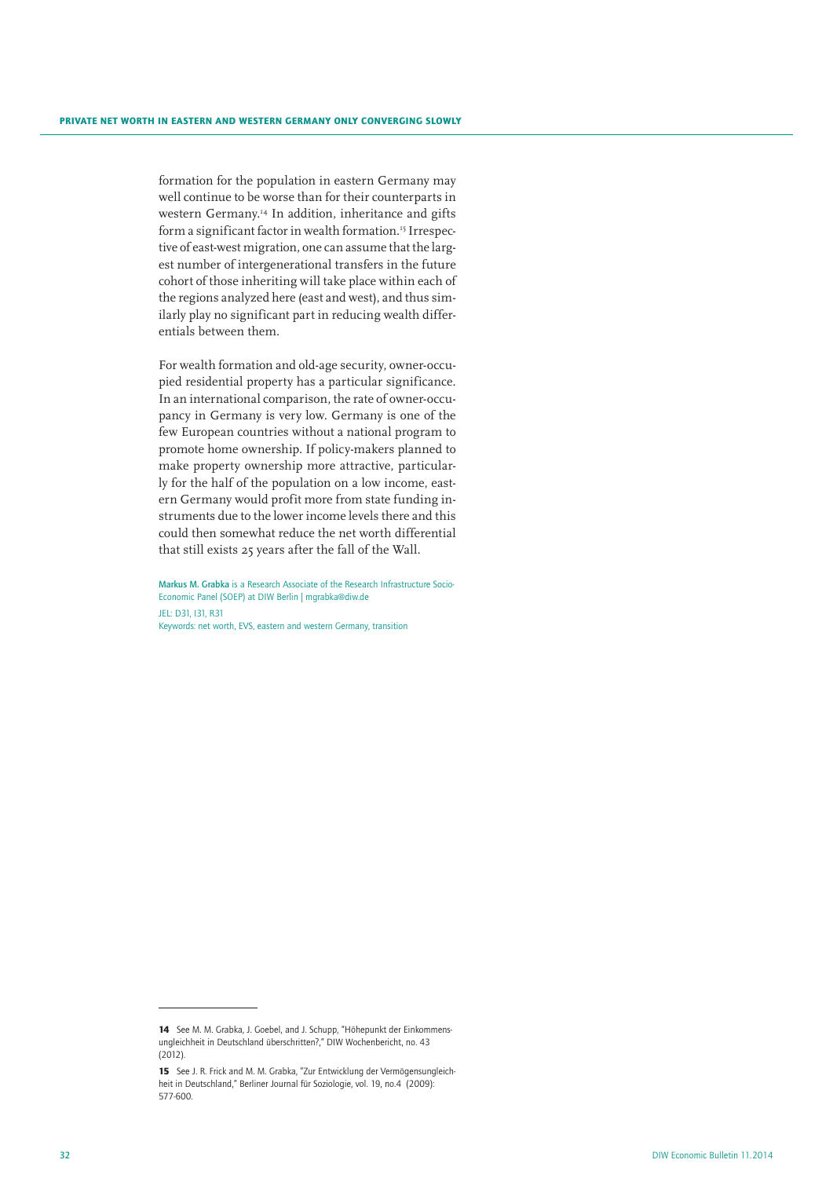formation for the population in eastern Germany may well continue to be worse than for their counterparts in western Germany.<sup>14</sup> In addition, inheritance and gifts form a significant factor in wealth formation.<sup>15</sup> Irrespective of east-west migration, one can assume that the largest number of intergenerational transfers in the future cohort of those inheriting will take place within each of the regions analyzed here (east and west), and thus similarly play no significant part in reducing wealth differentials between them.

For wealth formation and old-age security, owner-occupied residential property has a particular significance. In an international comparison, the rate of owner-occupancy in Germany is very low. Germany is one of the few European countries without a national program to promote home ownership. If policy-makers planned to make property ownership more attractive, particularly for the half of the population on a low income, eastern Germany would profit more from state funding instruments due to the lower income levels there and this could then somewhat reduce the net worth differential that still exists 25 years after the fall of the Wall.

Markus M. Grabka is a Research Associate of the Research Infrastructure Socio-Economic Panel (SOEP) at DIW Berlin | mgrabka@diw.de JEL: D31, I31, R31 Keywords: net worth, EVS, eastern and western Germany, transition

<sup>14</sup> See M. M. Grabka, J. Goebel, and J. Schupp, "Höhepunkt der Einkommensungleichheit in Deutschland überschritten?," DIW Wochenbericht, no. 43 (2012).

<sup>15</sup> See J. R. Frick and M. M. Grabka, "Zur Entwicklung der Vermögensungleichheit in Deutschland," Berliner Journal für Soziologie, vol. 19, no.4 (2009): 577-600.